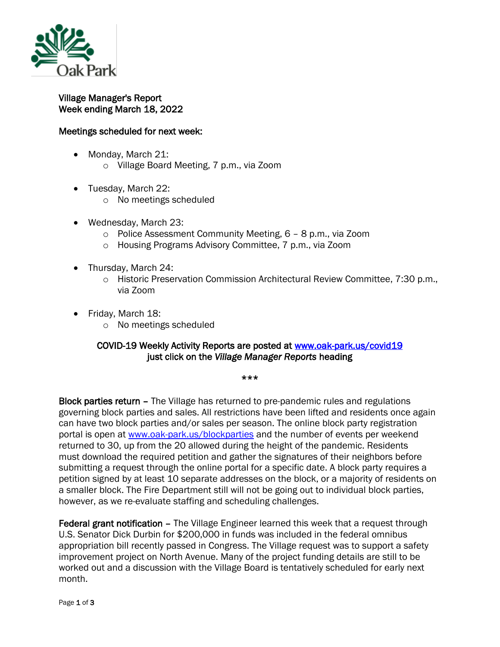

## Village Manager's Report Week ending March 18, 2022

## Meetings scheduled for next week:

- Monday, March 21: o Village Board Meeting, 7 p.m., via Zoom
- Tuesday, March 22:
	- o No meetings scheduled
- Wednesday, March 23:
	- o Police Assessment Community Meeting, 6 8 p.m., via Zoom
	- o Housing Programs Advisory Committee, 7 p.m., via Zoom
- Thursday, March 24:
	- o Historic Preservation Commission Architectural Review Committee, 7:30 p.m., via Zoom
- Friday, March 18:
	- o No meetings scheduled

## COVID-19 Weekly Activity Reports are posted at [www.oak-park.us/covid19](http://www.oak-park.us/covid19)  just click on the *Village Manager Reports* heading

\*\*\*

Block parties return – The Village has returned to pre-pandemic rules and regulations governing block parties and sales. All restrictions have been lifted and residents once again can have two block parties and/or sales per season. The online block party registration portal is open at [www.oak-park.us/blockparties](http://www.oak-park.us/blockparties) and the number of events per weekend returned to 30, up from the 20 allowed during the height of the pandemic. Residents must download the required petition and gather the signatures of their neighbors before submitting a request through the online portal for a specific date. A block party requires a petition signed by at least 10 separate addresses on the block, or a majority of residents on a smaller block. The Fire Department still will not be going out to individual block parties, however, as we re-evaluate staffing and scheduling challenges.

Federal grant notification – The Village Engineer learned this week that a request through U.S. Senator Dick Durbin for \$200,000 in funds was included in the federal omnibus appropriation bill recently passed in Congress. The Village request was to support a safety improvement project on North Avenue. Many of the project funding details are still to be worked out and a discussion with the Village Board is tentatively scheduled for early next month.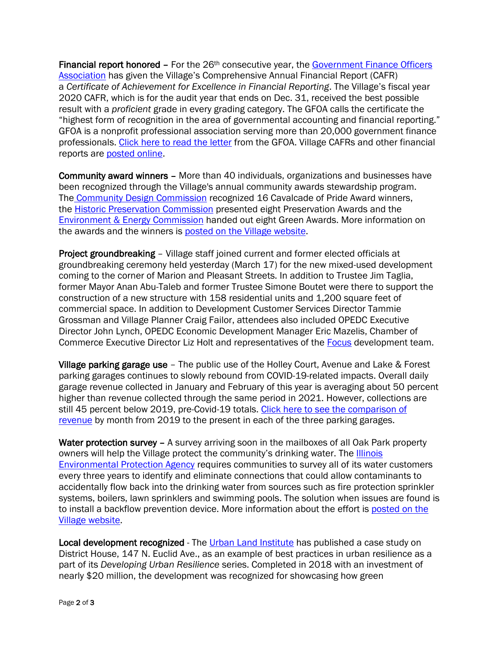Financial report honored  $-$  For the  $26<sup>th</sup>$  consecutive year, the Government Finance Officers [Association](http://www.gfoa.org/) has given the Village's Comprehensive Annual Financial Report (CAFR) a *Certificate of Achievement for Excellence in Financial Reporting*. The Village's fiscal year 2020 CAFR, which is for the audit year that ends on Dec. 31, received the best possible result with a *proficient* grade in every grading category. The GFOA calls the certificate the "highest form of recognition in the area of governmental accounting and financial reporting." GFOA is a nonprofit professional association serving more than 20,000 government finance professionals. [Click here to read the letter](https://www.oak-park.us/sites/default/files/456678891/2020_cafr_award_letter.pdf) from the GFOA. Village CAFRs and other financial reports are [posted online.](http://www.oak-park.us/your-government/budget-purchasing/financial-reports)

Community award winners – More than 40 individuals, organizations and businesses have been recognized through the Village's annual community awards stewardship program. The [Community Design Commission](https://www.oak-park.us/your-government/citizen-commissions/community-design-commission) recognized 16 Cavalcade of Pride Award winners, the [Historic Preservation Commission](https://www.oak-park.us/your-government/citizen-commissions/historic-preservation-commission) presented eight Preservation Awards and the **[Environment & Energy Commission](https://www.oak-park.us/your-government/citizen-commissions/environment-energy-commission)** handed out eight Green Awards. More information on the awards and the winners is [posted on the Village website.](https://www.oak-park.us/news/2021-community-awards-celebrate-stewardship)

Project groundbreaking – Village staff joined current and former elected officials at groundbreaking ceremony held yesterday (March 17) for the new mixed-used development coming to the corner of Marion and Pleasant Streets. In addition to Trustee Jim Taglia, former Mayor Anan Abu-Taleb and former Trustee Simone Boutet were there to support the construction of a new structure with 158 residential units and 1,200 square feet of commercial space. In addition to Development Customer Services Director Tammie Grossman and Village Planner Craig Failor, attendees also included OPEDC Executive Director John Lynch, OPEDC Economic Development Manager Eric Mazelis, Chamber of Commerce Executive Director Liz Holt and representatives of the [Focus](https://workwithfocus.com/) development team.

Village parking garage use – The public use of the Holley Court, Avenue and Lake & Forest parking garages continues to slowly rebound from COVID-19-related impacts. Overall daily garage revenue collected in January and February of this year is averaging about 50 percent higher than revenue collected through the same period in 2021. However, collections are still 45 percent below 2019, pre-Covid-19 totals. Click here to see the comparison of [revenue](https://www.oak-park.us/sites/default/files/456678891/2022-03-16-public-garage-use-data.pdf) by month from 2019 to the present in each of the three parking garages.

Water protection survey – A survey arriving soon in the mailboxes of all Oak Park property owners will help the Village protect the community's drinking water. The **Illinois** [Environmental Protection Agency](http://www.epa.illinois.gov/index) requires communities to survey all of its water customers every three years to identify and eliminate connections that could allow contaminants to accidentally flow back into the drinking water from sources such as fire protection sprinkler systems, boilers, lawn sprinklers and swimming pools. The solution when issues are found is to install a backflow prevention device. More information about the effort is [posted on the](https://www.oak-park.us/news/survey-help-protect-local-drinking-water-0)  [Village website.](https://www.oak-park.us/news/survey-help-protect-local-drinking-water-0)

Local development recognized - The [Urban Land Institute](https://uli.org/) has published a case study on District House, 147 N. Euclid Ave., as an example of best practices in urban resilience as a part of its *Developing Urban Resilience* series. Completed in 2018 with an investment of nearly \$20 million, the development was recognized for showcasing how green